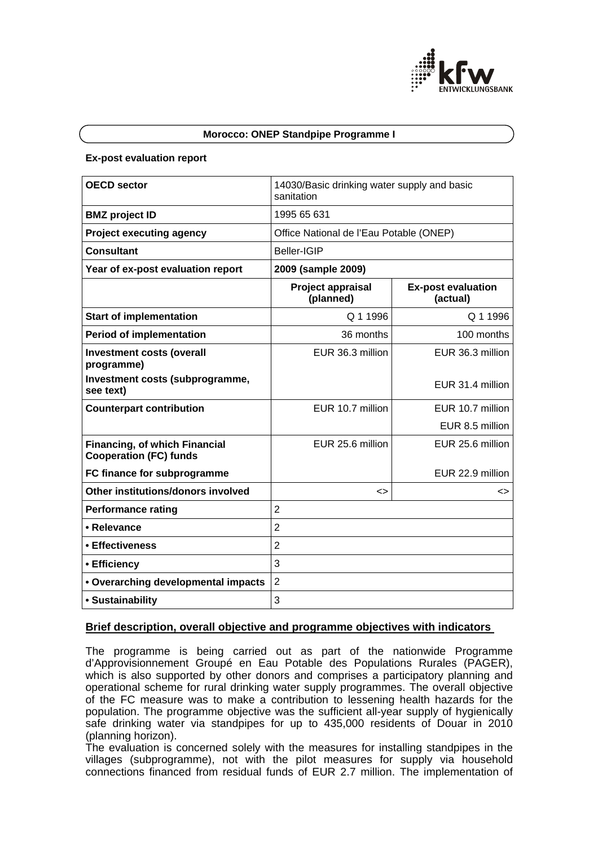

#### **Morocco: ONEP Standpipe Programme I**

#### **Ex-post evaluation report**

| <b>OECD sector</b>                                                    | 14030/Basic drinking water supply and basic<br>sanitation |                                       |
|-----------------------------------------------------------------------|-----------------------------------------------------------|---------------------------------------|
| <b>BMZ</b> project ID                                                 | 1995 65 631                                               |                                       |
| <b>Project executing agency</b>                                       | Office National de l'Eau Potable (ONEP)                   |                                       |
| <b>Consultant</b>                                                     | <b>Beller-IGIP</b>                                        |                                       |
| Year of ex-post evaluation report                                     | 2009 (sample 2009)                                        |                                       |
|                                                                       | Project appraisal<br>(planned)                            | <b>Ex-post evaluation</b><br>(actual) |
| <b>Start of implementation</b>                                        | Q 1 1996                                                  | Q 1 1996                              |
| <b>Period of implementation</b>                                       | 36 months                                                 | 100 months                            |
| <b>Investment costs (overall</b><br>programme)                        | EUR 36.3 million                                          | EUR 36.3 million                      |
| Investment costs (subprogramme,<br>see text)                          |                                                           | EUR 31.4 million                      |
| <b>Counterpart contribution</b>                                       | EUR 10.7 million                                          | EUR 10.7 million                      |
|                                                                       |                                                           | EUR 8.5 million                       |
| <b>Financing, of which Financial</b><br><b>Cooperation (FC) funds</b> | EUR 25.6 million                                          | EUR 25.6 million                      |
| FC finance for subprogramme                                           |                                                           | EUR 22.9 million                      |
| Other institutions/donors involved                                    | ◇                                                         | <>                                    |
| <b>Performance rating</b>                                             | $\overline{2}$                                            |                                       |
| • Relevance                                                           | $\overline{2}$                                            |                                       |
| • Effectiveness                                                       | $\overline{2}$                                            |                                       |
| • Efficiency                                                          | 3                                                         |                                       |
| • Overarching developmental impacts                                   | $\overline{2}$                                            |                                       |
| • Sustainability                                                      | 3                                                         |                                       |

### **Brief description, overall objective and programme objectives with indicators**

The programme is being carried out as part of the nationwide Programme d'Approvisionnement Groupé en Eau Potable des Populations Rurales (PAGER), which is also supported by other donors and comprises a participatory planning and operational scheme for rural drinking water supply programmes. The overall objective of the FC measure was to make a contribution to lessening health hazards for the population. The programme objective was the sufficient all-year supply of hygienically safe drinking water via standpipes for up to 435,000 residents of Douar in 2010 (planning horizon).

The evaluation is concerned solely with the measures for installing standpipes in the villages (subprogramme), not with the pilot measures for supply via household connections financed from residual funds of EUR 2.7 million. The implementation of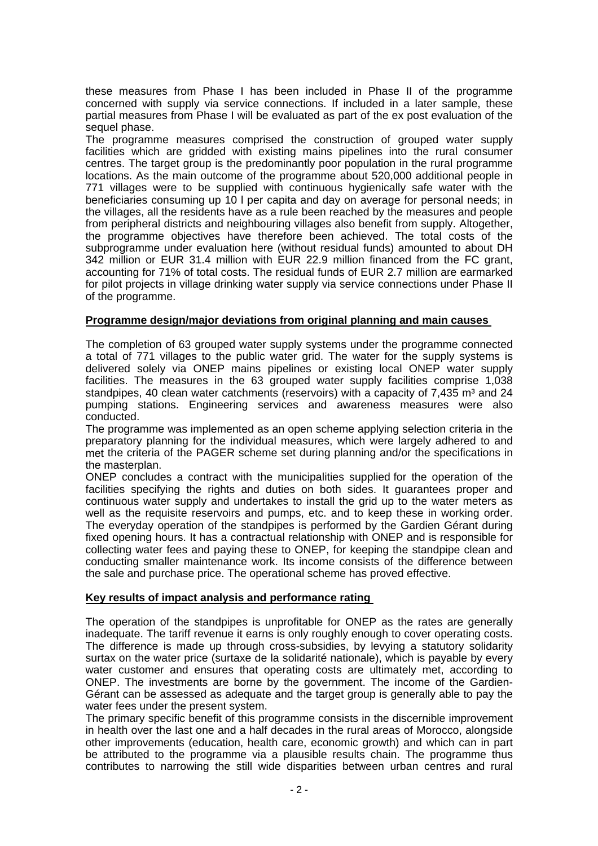these measures from Phase I has been included in Phase II of the programme concerned with supply via service connections. If included in a later sample, these partial measures from Phase I will be evaluated as part of the ex post evaluation of the sequel phase.

The programme measures comprised the construction of grouped water supply facilities which are gridded with existing mains pipelines into the rural consumer centres. The target group is the predominantly poor population in the rural programme locations. As the main outcome of the programme about 520,000 additional people in 771 villages were to be supplied with continuous hygienically safe water with the beneficiaries consuming up 10 l per capita and day on average for personal needs; in the villages, all the residents have as a rule been reached by the measures and people from peripheral districts and neighbouring villages also benefit from supply. Altogether, the programme objectives have therefore been achieved. The total costs of the subprogramme under evaluation here (without residual funds) amounted to about DH 342 million or EUR 31.4 million with EUR 22.9 million financed from the FC grant, accounting for 71% of total costs. The residual funds of EUR 2.7 million are earmarked for pilot projects in village drinking water supply via service connections under Phase II of the programme.

# **Programme design/major deviations from original planning and main causes**

The completion of 63 grouped water supply systems under the programme connected a total of 771 villages to the public water grid. The water for the supply systems is delivered solely via ONEP mains pipelines or existing local ONEP water supply facilities. The measures in the 63 grouped water supply facilities comprise 1,038 standpipes, 40 clean water catchments (reservoirs) with a capacity of  $7.435$  m<sup>3</sup> and  $24$ pumping stations. Engineering services and awareness measures were also conducted.

The programme was implemented as an open scheme applying selection criteria in the preparatory planning for the individual measures, which were largely adhered to and met the criteria of the PAGER scheme set during planning and/or the specifications in the masterplan.

ONEP concludes a contract with the municipalities supplied for the operation of the facilities specifying the rights and duties on both sides. It guarantees proper and continuous water supply and undertakes to install the grid up to the water meters as well as the requisite reservoirs and pumps, etc. and to keep these in working order. The everyday operation of the standpipes is performed by the Gardien Gérant during fixed opening hours. It has a contractual relationship with ONEP and is responsible for collecting water fees and paying these to ONEP, for keeping the standpipe clean and conducting smaller maintenance work. Its income consists of the difference between the sale and purchase price. The operational scheme has proved effective.

# **Key results of impact analysis and performance rating**

The operation of the standpipes is unprofitable for ONEP as the rates are generally inadequate. The tariff revenue it earns is only roughly enough to cover operating costs. The difference is made up through cross-subsidies, by levying a statutory solidarity surtax on the water price (surtaxe de la solidarité nationale), which is payable by every water customer and ensures that operating costs are ultimately met, according to ONEP. The investments are borne by the government. The income of the Gardien-Gérant can be assessed as adequate and the target group is generally able to pay the water fees under the present system.

The primary specific benefit of this programme consists in the discernible improvement in health over the last one and a half decades in the rural areas of Morocco, alongside other improvements (education, health care, economic growth) and which can in part be attributed to the programme via a plausible results chain. The programme thus contributes to narrowing the still wide disparities between urban centres and rural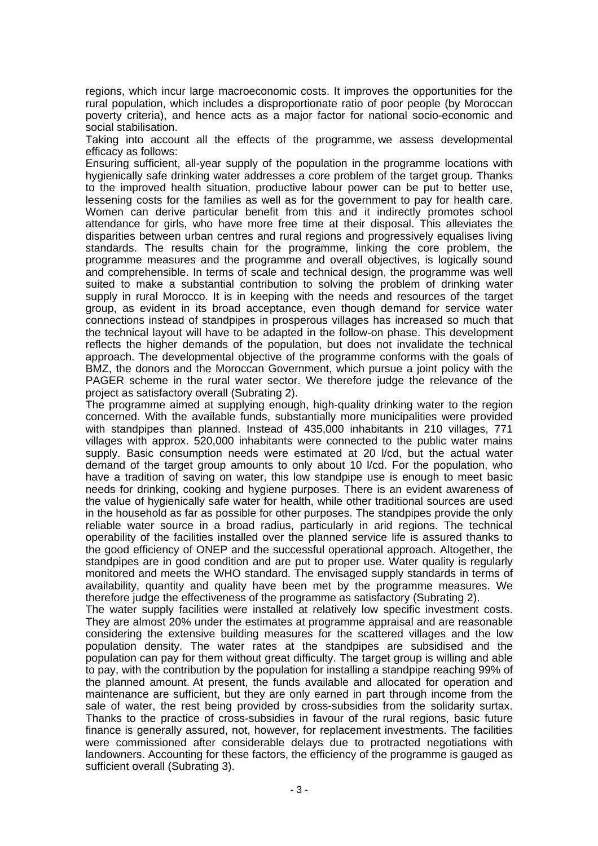regions, which incur large macroeconomic costs. It improves the opportunities for the rural population, which includes a disproportionate ratio of poor people (by Moroccan poverty criteria), and hence acts as a major factor for national socio-economic and social stabilisation.

Taking into account all the effects of the programme, we assess developmental efficacy as follows:

Ensuring sufficient, all-year supply of the population in the programme locations with hygienically safe drinking water addresses a core problem of the target group. Thanks to the improved health situation, productive labour power can be put to better use, lessening costs for the families as well as for the government to pay for health care. Women can derive particular benefit from this and it indirectly promotes school attendance for girls, who have more free time at their disposal. This alleviates the disparities between urban centres and rural regions and progressively equalises living standards. The results chain for the programme, linking the core problem, the programme measures and the programme and overall objectives, is logically sound and comprehensible. In terms of scale and technical design, the programme was well suited to make a substantial contribution to solving the problem of drinking water supply in rural Morocco. It is in keeping with the needs and resources of the target group, as evident in its broad acceptance, even though demand for service water connections instead of standpipes in prosperous villages has increased so much that the technical layout will have to be adapted in the follow-on phase. This development reflects the higher demands of the population, but does not invalidate the technical approach. The developmental objective of the programme conforms with the goals of BMZ, the donors and the Moroccan Government, which pursue a joint policy with the PAGER scheme in the rural water sector. We therefore judge the relevance of the project as satisfactory overall (Subrating 2).

The programme aimed at supplying enough, high-quality drinking water to the region concerned. With the available funds, substantially more municipalities were provided with standpipes than planned. Instead of 435,000 inhabitants in 210 villages, 771 villages with approx. 520,000 inhabitants were connected to the public water mains supply. Basic consumption needs were estimated at 20 l/cd, but the actual water demand of the target group amounts to only about 10 l/cd. For the population, who have a tradition of saving on water, this low standpipe use is enough to meet basic needs for drinking, cooking and hygiene purposes. There is an evident awareness of the value of hygienically safe water for health, while other traditional sources are used in the household as far as possible for other purposes. The standpipes provide the only reliable water source in a broad radius, particularly in arid regions. The technical operability of the facilities installed over the planned service life is assured thanks to the good efficiency of ONEP and the successful operational approach. Altogether, the standpipes are in good condition and are put to proper use. Water quality is regularly monitored and meets the WHO standard. The envisaged supply standards in terms of availability, quantity and quality have been met by the programme measures. We therefore judge the effectiveness of the programme as satisfactory (Subrating 2).

The water supply facilities were installed at relatively low specific investment costs. They are almost 20% under the estimates at programme appraisal and are reasonable considering the extensive building measures for the scattered villages and the low population density. The water rates at the standpipes are subsidised and the population can pay for them without great difficulty. The target group is willing and able to pay, with the contribution by the population for installing a standpipe reaching 99% of the planned amount. At present, the funds available and allocated for operation and maintenance are sufficient, but they are only earned in part through income from the sale of water, the rest being provided by cross-subsidies from the solidarity surtax. Thanks to the practice of cross-subsidies in favour of the rural regions, basic future finance is generally assured, not, however, for replacement investments. The facilities were commissioned after considerable delays due to protracted negotiations with landowners. Accounting for these factors, the efficiency of the programme is gauged as sufficient overall (Subrating 3).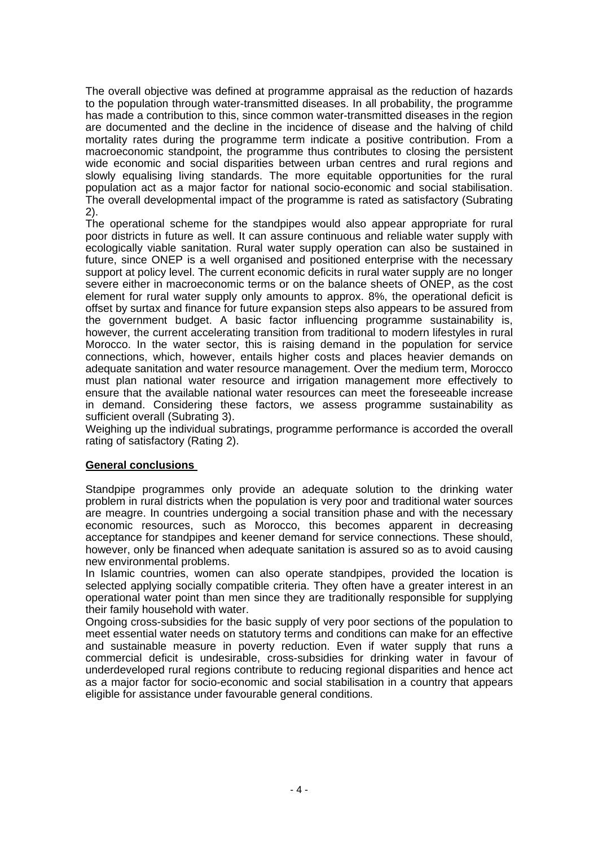The overall objective was defined at programme appraisal as the reduction of hazards to the population through water-transmitted diseases. In all probability, the programme has made a contribution to this, since common water-transmitted diseases in the region are documented and the decline in the incidence of disease and the halving of child mortality rates during the programme term indicate a positive contribution. From a macroeconomic standpoint, the programme thus contributes to closing the persistent wide economic and social disparities between urban centres and rural regions and slowly equalising living standards. The more equitable opportunities for the rural population act as a major factor for national socio-economic and social stabilisation. The overall developmental impact of the programme is rated as satisfactory (Subrating 2).

The operational scheme for the standpipes would also appear appropriate for rural poor districts in future as well. It can assure continuous and reliable water supply with ecologically viable sanitation. Rural water supply operation can also be sustained in future, since ONEP is a well organised and positioned enterprise with the necessary support at policy level. The current economic deficits in rural water supply are no longer severe either in macroeconomic terms or on the balance sheets of ONEP, as the cost element for rural water supply only amounts to approx. 8%, the operational deficit is offset by surtax and finance for future expansion steps also appears to be assured from the government budget. A basic factor influencing programme sustainability is, however, the current accelerating transition from traditional to modern lifestyles in rural Morocco. In the water sector, this is raising demand in the population for service connections, which, however, entails higher costs and places heavier demands on adequate sanitation and water resource management. Over the medium term, Morocco must plan national water resource and irrigation management more effectively to ensure that the available national water resources can meet the foreseeable increase in demand. Considering these factors, we assess programme sustainability as sufficient overall (Subrating 3).

Weighing up the individual subratings, programme performance is accorded the overall rating of satisfactory (Rating 2).

# **General conclusions**

Standpipe programmes only provide an adequate solution to the drinking water problem in rural districts when the population is very poor and traditional water sources are meagre. In countries undergoing a social transition phase and with the necessary economic resources, such as Morocco, this becomes apparent in decreasing acceptance for standpipes and keener demand for service connections. These should, however, only be financed when adequate sanitation is assured so as to avoid causing new environmental problems.

In Islamic countries, women can also operate standpipes, provided the location is selected applying socially compatible criteria. They often have a greater interest in an operational water point than men since they are traditionally responsible for supplying their family household with water.

Ongoing cross-subsidies for the basic supply of very poor sections of the population to meet essential water needs on statutory terms and conditions can make for an effective and sustainable measure in poverty reduction. Even if water supply that runs a commercial deficit is undesirable, cross-subsidies for drinking water in favour of underdeveloped rural regions contribute to reducing regional disparities and hence act as a major factor for socio-economic and social stabilisation in a country that appears eligible for assistance under favourable general conditions.